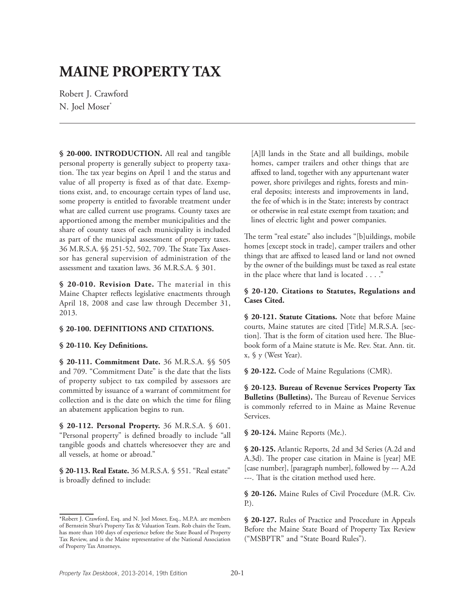# **MAINE PROPERTY TAX**

Robert J. Crawford N. Joel Moser<sup>\*</sup>

**§ 20-000. INTRODUCTION.** All real and tangible personal property is generally subject to property taxation. The tax year begins on April 1 and the status and value of all property is fixed as of that date. Exemptions exist, and, to encourage certain types of land use, some property is entitled to favorable treatment under what are called current use programs. County taxes are apportioned among the member municipalities and the share of county taxes of each municipality is included as part of the municipal assessment of property taxes. 36 M.R.S.A. §§ 251-52, 502, 709. The State Tax Assessor has general supervision of administration of the assessment and taxation laws. 36 M.R.S.A. § 301.

**§ 20-010. Revision Date.** The material in this Maine Chapter reflects legislative enactments through April 18, 2008 and case law through December 31, 2013.

### **§ 20-100. DEFINITIONS AND CITATIONS.**

#### **§ 20-110. Key Definitions.**

**§ 20-111. Commitment Date.** 36 M.R.S.A. §§ 505 and 709. "Commitment Date" is the date that the lists of property subject to tax compiled by assessors are committed by issuance of a warrant of commitment for collection and is the date on which the time for filing an abatement application begins to run.

**§ 20-112. Personal Property.** 36 M.R.S.A. § 601. "Personal property" is defined broadly to include "all tangible goods and chattels wheresoever they are and all vessels, at home or abroad."

**§ 20-113. Real Estate.** 36 M.R.S.A. § 551. "Real estate" is broadly defined to include:

[A]ll lands in the State and all buildings, mobile homes, camper trailers and other things that are affixed to land, together with any appurtenant water power, shore privileges and rights, forests and mineral deposits; interests and improvements in land, the fee of which is in the State; interests by contract or otherwise in real estate exempt from taxation; and lines of electric light and power companies.

The term "real estate" also includes "[b]uildings, mobile homes [except stock in trade], camper trailers and other things that are affixed to leased land or land not owned by the owner of the buildings must be taxed as real estate in the place where that land is located . . . ."

## **§ 20-120. Citations to Statutes, Regulations and Cases Cited.**

**§ 20-121. Statute Citations.** Note that before Maine courts, Maine statutes are cited [Title] M.R.S.A. [section]. That is the form of citation used here. The Bluebook form of a Maine statute is Me. Rev. Stat. Ann. tit. x, § y (West Year).

**§ 20-122.** Code of Maine Regulations (CMR).

**§ 20-123. Bureau of Revenue Services Property Tax Bulletins (Bulletins).** The Bureau of Revenue Services is commonly referred to in Maine as Maine Revenue Services.

**§ 20-124.** Maine Reports (Me.).

**§ 20-125.** Atlantic Reports, 2d and 3d Series (A.2d and A.3d). The proper case citation in Maine is [year] ME [case number], [paragraph number], followed by --- A.2d ---. That is the citation method used here.

**§ 20-126.** Maine Rules of Civil Procedure (M.R. Civ. P.).

**§ 20-127.** Rules of Practice and Procedure in Appeals Before the Maine State Board of Property Tax Review ("MSBPTR" and "State Board Rules").

<sup>\*</sup>Robert J. Crawford, Esq. and N. Joel Moser, Esq., M.P.A. are members of Bernstein Shur's Property Tax & Valuation Team. Rob chairs the Team, has more than 100 days of experience before the State Board of Property Tax Review, and is the Maine representative of the National Association of Property Tax Attorneys.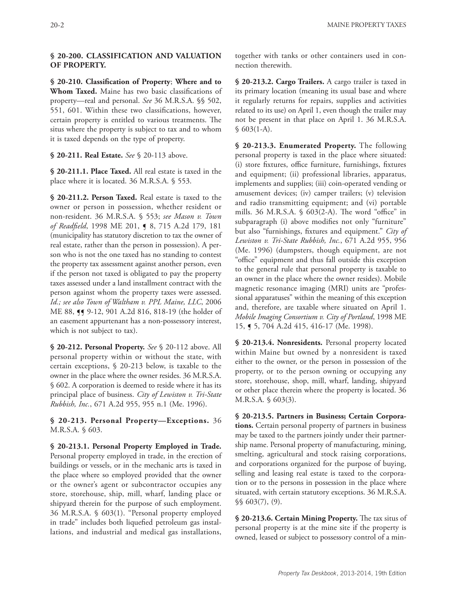## **§ 20-200. CLASSIFICATION AND VALUATION OF PROPERTY.**

**§ 20-210. Classification of Property**; **Where and to Whom Taxed.** Maine has two basic classifications of property—real and personal. *See* 36 M.R.S.A. §§ 502, 551, 601. Within these two classifications, however, certain property is entitled to various treatments. The situs where the property is subject to tax and to whom it is taxed depends on the type of property.

**§ 20-211. Real Estate.** *See* § 20-113 above.

**§ 20-211.1. Place Taxed.** All real estate is taxed in the place where it is located. 36 M.R.S.A. § 553.

**§ 20-211.2. Person Taxed.** Real estate is taxed to the owner or person in possession, whether resident or non-resident. 36 M.R.S.A. § 553; *see Mason v. Town of Readfield*, 1998 ME 201, ¶ 8, 715 A.2d 179, 181 (municipality has statutory discretion to tax the owner of real estate, rather than the person in possession). A person who is not the one taxed has no standing to contest the property tax assessment against another person, even if the person not taxed is obligated to pay the property taxes assessed under a land installment contract with the person against whom the property taxes were assessed. *Id.; see also Town of Waltham v. PPL Maine, LLC*, 2006 ME 88, **[9** 9-12, 901 A.2d 816, 818-19 (the holder of an easement appurtenant has a non-possessory interest, which is not subject to tax).

**§ 20-212. Personal Property.** *See* § 20-112 above. All personal property within or without the state, with certain exceptions, § 20-213 below, is taxable to the owner in the place where the owner resides. 36 M.R.S.A. § 602. A corporation is deemed to reside where it has its principal place of business. *City of Lewiston v. Tri-State Rubbish, Inc.*, 671 A.2d 955, 955 n.1 (Me. 1996).

**§ 20-213. Personal Property—Exceptions.** 36 M.R.S.A. § 603.

**§ 20-213.1. Personal Property Employed in Trade.** Personal property employed in trade, in the erection of buildings or vessels, or in the mechanic arts is taxed in the place where so employed provided that the owner or the owner's agent or subcontractor occupies any store, storehouse, ship, mill, wharf, landing place or shipyard therein for the purpose of such employment. 36 M.R.S.A. § 603(1). "Personal property employed in trade" includes both liquefied petroleum gas installations, and industrial and medical gas installations,

together with tanks or other containers used in connection therewith.

**§ 20-213.2. Cargo Trailers.** A cargo trailer is taxed in its primary location (meaning its usual base and where it regularly returns for repairs, supplies and activities related to its use) on April 1, even though the trailer may not be present in that place on April 1. 36 M.R.S.A. § 603(1-A).

**§ 20-213.3. Enumerated Property.** The following personal property is taxed in the place where situated: (i) store fixtures, office furniture, furnishings, fixtures and equipment; (ii) professional libraries, apparatus, implements and supplies; (iii) coin-operated vending or amusement devices; (iv) camper trailers; (v) television and radio transmitting equipment; and (vi) portable mills. 36 M.R.S.A. § 603(2-A). The word "office" in subparagraph (i) above modifies not only "furniture" but also "furnishings, fixtures and equipment." *City of Lewiston v. Tri-State Rubbish, Inc.*, 671 A.2d 955, 956 (Me. 1996) (dumpsters, though equipment, are not "office" equipment and thus fall outside this exception to the general rule that personal property is taxable to an owner in the place where the owner resides). Mobile magnetic resonance imaging (MRI) units are "professional apparatuses" within the meaning of this exception and, therefore, are taxable where situated on April 1. *Mobile Imaging Consortium v. City of Portland*, 1998 ME 15, ¶ 5, 704 A.2d 415, 416-17 (Me. 1998).

**§ 20-213.4. Nonresidents.** Personal property located within Maine but owned by a nonresident is taxed either to the owner, or the person in possession of the property, or to the person owning or occupying any store, storehouse, shop, mill, wharf, landing, shipyard or other place therein where the property is located. 36 M.R.S.A. § 603(3).

**§ 20-213.5. Partners in Business; Certain Corporations.** Certain personal property of partners in business may be taxed to the partners jointly under their partnership name. Personal property of manufacturing, mining, smelting, agricultural and stock raising corporations, and corporations organized for the purpose of buying, selling and leasing real estate is taxed to the corporation or to the persons in possession in the place where situated, with certain statutory exceptions. 36 M.R.S.A. §§ 603(7), (9).

**§ 20-213.6. Certain Mining Property.** The tax situs of personal property is at the mine site if the property is owned, leased or subject to possessory control of a min-